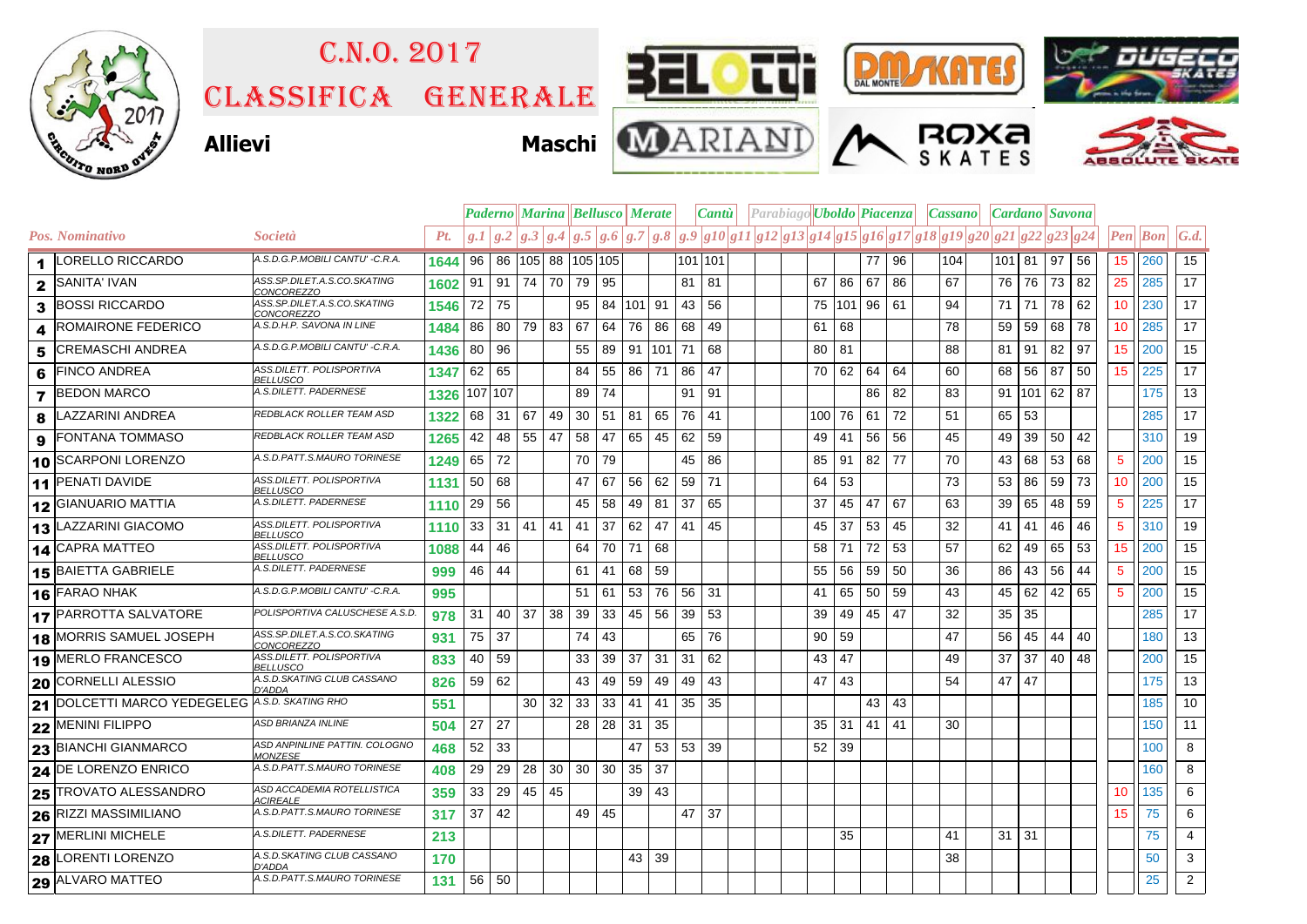

## Classifica generale C.n.o. 2017















|   |                                |                                                  |      |         | <b>Paderno Marina Bellusco Merate</b> |                 |                 |              |    |           |     |    | Parabiago <b>Uboldo</b> Piacenza<br><i>Cantu</i>                                                                                                                                                                                                                                                                                                                                                         |      |         |              |    | Cassano | Cardano  Savona |        |    |    |            |                         |                   |
|---|--------------------------------|--------------------------------------------------|------|---------|---------------------------------------|-----------------|-----------------|--------------|----|-----------|-----|----|----------------------------------------------------------------------------------------------------------------------------------------------------------------------------------------------------------------------------------------------------------------------------------------------------------------------------------------------------------------------------------------------------------|------|---------|--------------|----|---------|-----------------|--------|----|----|------------|-------------------------|-------------------|
|   | Pos. Nominativo                | <i>Società</i>                                   | Pt.  |         |                                       |                 |                 |              |    |           |     |    | $g.1\,\left  \,g.2 \,\right  g.2\,\left  \,g.3 \,\right  g.4\,\left  \,g.5 \,\right  g.6\,\left  \,g.7 \,\right  g.8\,\left  \,g.9 \,\right  g10 \,\left  \,g11 \,\right  g12 \,\left  \,g13 \,\right  g14 \,\left  \,g15 \,\right  g16 \,\left  \,g17 \,\right  g18 \,\left  \,g19 \,\right  g20 \,\left  \,g21 \,\right  g22 \,\left  \,g22 \,\right  g24 \,\left  \,g22 \,\right  g24 \,\left  \,g22$ |      |         |              |    |         |                 |        |    |    |            | $\left  Pen\right $ Bon | $\mathcal{G}.d$ . |
|   | 1 LORELLO RICCARDO             | A.S.D.G.P.MOBILI CANTU' -C.R.A.                  | 1644 | 96      | 86 105 88 105 105                     |                 |                 |              |    |           |     |    | 101 101                                                                                                                                                                                                                                                                                                                                                                                                  |      |         | 77           | 96 | 104     | 101 81          |        | 97 | 56 | 15         | 260                     | 15                |
|   | $2$ SANITA' IVAN               | ASS.SP.DILET.A.S.CO.SKATING<br>CONCOREZZO        | 1602 | 91      | $91 \mid 74 \mid$                     |                 | 70              | 79           | 95 |           |     | 81 | -81                                                                                                                                                                                                                                                                                                                                                                                                      | 67   | 86      | 67           | 86 | 67      | 76              | 76     | 73 | 82 | 25         | 285                     | 17 <sup>1</sup>   |
|   | 3 BOSSI RICCARDO               | ASS.SP.DILET.A.S.CO.SKATING<br>CONCOREZZO        | 1546 | 72      | 75                                    |                 |                 | 95           |    | 84 101 91 |     | 43 | 56                                                                                                                                                                                                                                                                                                                                                                                                       |      |         | 75 101 96 61 |    | 94      | 71              | 71     | 78 | 62 | 10         | 230                     | 17                |
| 4 | <b>ROMAIRONE FEDERICO</b>      | A.S.D.H.P. SAVONA IN LINE                        | 1484 | 86      | 80                                    | 79 83           |                 | 67           | 64 | 76        | 86  | 68 | 49                                                                                                                                                                                                                                                                                                                                                                                                       | 61   | 68      |              |    | 78      | 59              | 59     | 68 | 78 | 10         | 285                     | 17                |
| 5 | <b>CREMASCHI ANDREA</b>        | A.S.D.G.P.MOBILI CANTU' -C.R.A.                  | 1436 | 80      | 96                                    |                 |                 | 55           | 89 | 91        | 101 | 71 | 68                                                                                                                                                                                                                                                                                                                                                                                                       | 80   | 81      |              |    | 88      | 81 91           |        | 82 | 97 | 15         | 200                     | 15                |
| 6 | <b>FINCO ANDREA</b>            | ASS.DILETT. POLISPORTIVA<br><b>BELLUSCO</b>      | 1347 | 62      | 65                                    |                 |                 | 84           | 55 | 86        | 71  | 86 | 47                                                                                                                                                                                                                                                                                                                                                                                                       | 70 l | 62      | 64           | 64 | 60      | 68              | 56     | 87 | 50 | 15         | 225                     | 17                |
|   | <b>7 BEDON MARCO</b>           | A.S.DILETT. PADERNESE                            | 1326 | 107 107 |                                       |                 |                 | 89           | 74 |           |     | 91 | -91                                                                                                                                                                                                                                                                                                                                                                                                      |      |         | 86           | 82 | 83      |                 | 91 101 | 62 | 87 |            | 175                     | 13                |
| 8 | LAZZARINI ANDREA               | REDBLACK ROLLER TEAM ASD                         | 1322 | 68      | 31                                    | 67              | 49              | 30           | 51 | 81        | 65  | 76 | -41                                                                                                                                                                                                                                                                                                                                                                                                      |      | 100 76  | 61           | 72 | 51      | 65              | 53     |    |    |            | 285                     | 17                |
| 9 | <b>FONTANA TOMMASO</b>         | <b>REDBLACK ROLLER TEAM ASD</b>                  | 1265 | 42      | 48 55                                 |                 | 47              | 58           | 47 | 65        | 45  | 62 | 59                                                                                                                                                                                                                                                                                                                                                                                                       | 49   | 41      | 56           | 56 | 45      | 49              | 39     | 50 | 42 |            | 310                     | 19                |
|   | 10 SCARPONI LORENZO            | A.S.D.PATT.S.MAURO TORINESE                      | 1249 | 65      | 72                                    |                 |                 | 70           | 79 |           |     | 45 | 86                                                                                                                                                                                                                                                                                                                                                                                                       | 85   | 91      | 82           | 77 | 70      | 43              | 68     | 53 | 68 | $\sqrt{5}$ | 200                     | 15                |
|   | 11 PENATI DAVIDE               | ASS.DILETT. POLISPORTIVA<br><b>BELLUSCO</b>      | 1131 | 50      | 68                                    |                 |                 | 47           | 67 | 56        | 62  | 59 | 71                                                                                                                                                                                                                                                                                                                                                                                                       | 64   | 53      |              |    | 73      | 53              | 86     | 59 | 73 | 10         | 200                     | 15                |
|   | 12 GIANUARIO MATTIA            | A.S.DILETT. PADERNESE                            | 1110 | 29      | 56                                    |                 |                 | 45           | 58 | 49        | 81  | 37 | 65                                                                                                                                                                                                                                                                                                                                                                                                       | 37   | 45      | 47           | 67 | 63      | 39              | 65     | 48 | 59 | 5          | 225                     | 17                |
|   | 13 LAZZARINI GIACOMO           | ASS.DILETT. POLISPORTIVA<br><b>BELLUSCO</b>      | 1110 | 33      | $31$   41                             |                 | 41              | 41           | 37 | 62        | 47  | 41 | 45                                                                                                                                                                                                                                                                                                                                                                                                       | 45   | 37      | 53           | 45 | 32      | 41 <sup>1</sup> | 41     | 46 | 46 | 5          | 310                     | 19                |
|   | 14 CAPRA MATTEO                | ASS.DILETT. POLISPORTIVA<br>BELLUSCO             | 1088 | 44      | 46                                    |                 |                 | 64           | 70 | 71        | 68  |    |                                                                                                                                                                                                                                                                                                                                                                                                          | 58   | 71      | 72           | 53 | 57      | 62              | 49     | 65 | 53 | 15         | 200                     | 15                |
|   | <b>15 BAIETTA GABRIELE</b>     | A.S.DILETT. PADERNESE                            | 999  | 46      | 44                                    |                 |                 | 61           | 41 | 68        | 59  |    |                                                                                                                                                                                                                                                                                                                                                                                                          | 55   | 56      | 59           | 50 | 36      | 86              | 43     | 56 | 44 | 5          | 200                     | 15                |
|   | 16 FARAO NHAK                  | A.S.D.G.P.MOBILI CANTU' -C.R.A.                  | 995  |         |                                       |                 |                 | 51           | 61 | 53        | 76  | 56 | -31                                                                                                                                                                                                                                                                                                                                                                                                      | 41   | 65      | 50           | 59 | 43      | 45              | 62     | 42 | 65 | 5          | 200                     | 15                |
|   | <b>17 PARROTTA SALVATORE</b>   | POLISPORTIVA CALUSCHESE A.S.D.                   | 978  | 31      | 40 37                                 |                 | 38              | 39           | 33 | 45        | 56  | 39 | 53                                                                                                                                                                                                                                                                                                                                                                                                       | 39   | 49      | 45           | 47 | 32      | 35              | 35     |    |    |            | 285                     | 17                |
|   | <b>18 MORRIS SAMUEL JOSEPH</b> | ASS.SP.DILET.A.S.CO.SKATING<br><i>CONCOREZZO</i> | 931  | 75      | 37                                    |                 |                 | 74           | 43 |           |     | 65 | 76                                                                                                                                                                                                                                                                                                                                                                                                       | 90   | 59      |              |    | 47      | 56              | 45     | 44 | 40 |            | 180                     | 13                |
|   | 19 MERLO FRANCESCO             | ASS.DILETT. POLISPORTIVA<br><b>BELLUSCO</b>      | 833  | 40      | 59                                    |                 |                 | 33           | 39 | 37        | 31  | 31 | 62                                                                                                                                                                                                                                                                                                                                                                                                       | 43   | 47      |              |    | 49      | 37              | 37     | 40 | 48 |            | 200                     | 15 <sub>15</sub>  |
|   | 20 CORNELLI ALESSIO            | A.S.D. SKATING CLUB CASSANO<br>D'ADDA            | 826  | 59      | 62                                    |                 |                 | 43           | 49 | 59        | 49  | 49 | 43                                                                                                                                                                                                                                                                                                                                                                                                       | 47   | 43      |              |    | 54      | 47 47           |        |    |    |            | 175                     | 13                |
|   | 21 DOLCETTI MARCO YEDEGELEG    | A.S.D. SKATING RHO                               | 551  |         |                                       | 30 <sup>1</sup> | 32              | 33           | 33 | 41        | 41  | 35 | -35                                                                                                                                                                                                                                                                                                                                                                                                      |      |         | $43 \mid 43$ |    |         |                 |        |    |    |            | 185                     | 10 <sup>°</sup>   |
|   | 22 MENINI FILIPPO              | <b>ASD BRIANZA INLINE</b>                        | 504  | 27      | 27                                    |                 |                 | 28           | 28 | 31        | 35  |    |                                                                                                                                                                                                                                                                                                                                                                                                          | 35   | 31      | 41           | 41 | 30      |                 |        |    |    |            | 150                     | 11                |
|   | 23 BIANCHI GIANMARCO           | ASD ANPINLINE PATTIN. COLOGNO<br><b>MONZESE</b>  | 468  | 52      | 33                                    |                 |                 |              |    | 47        | 53  |    | 53 39                                                                                                                                                                                                                                                                                                                                                                                                    |      | $52$ 39 |              |    |         |                 |        |    |    |            | 100                     | 8                 |
|   | 24 DE LORENZO ENRICO           | A.S.D.PATT.S.MAURO TORINESE                      | 408  | 29      | 29                                    | 28              | 30 <sup>1</sup> | 30 30        |    | 35        | 37  |    |                                                                                                                                                                                                                                                                                                                                                                                                          |      |         |              |    |         |                 |        |    |    |            | 160                     | 8                 |
|   | 25 TROVATO ALESSANDRO          | ASD ACCADEMIA ROTELLISTICA<br><b>ACIREALE</b>    | 359  | 33      | 29 45                                 |                 | 45              |              |    | 39        | 43  |    |                                                                                                                                                                                                                                                                                                                                                                                                          |      |         |              |    |         |                 |        |    |    | 10         | 135                     | 6                 |
|   | 26 RIZZI MASSIMILIANO          | A.S.D.PATT.S.MAURO TORINESE                      | 317  | 37      | 42                                    |                 |                 | $49 \mid 45$ |    |           |     | 47 | 37                                                                                                                                                                                                                                                                                                                                                                                                       |      |         |              |    |         |                 |        |    |    | 15         | 75                      | 6                 |
|   | 27 MERLINI MICHELE             | A.S.DILETT. PADERNESE                            | 213  |         |                                       |                 |                 |              |    |           |     |    |                                                                                                                                                                                                                                                                                                                                                                                                          |      | 35      |              |    | 41      | $31$ 31         |        |    |    |            | 75                      | $\overline{4}$    |
|   | 28 LORENTI LORENZO             | A.S.D.SKATING CLUB CASSANO<br>D'ADDA             | 170  |         |                                       |                 |                 |              |    | 43        | 39  |    |                                                                                                                                                                                                                                                                                                                                                                                                          |      |         |              |    | 38      |                 |        |    |    |            | 50                      | 3                 |
|   | 29 ALVARO MATTEO               | A.S.D.PATT.S.MAURO TORINESE                      | 131  | 56 50   |                                       |                 |                 |              |    |           |     |    |                                                                                                                                                                                                                                                                                                                                                                                                          |      |         |              |    |         |                 |        |    |    |            | 25                      | $2^{\circ}$       |